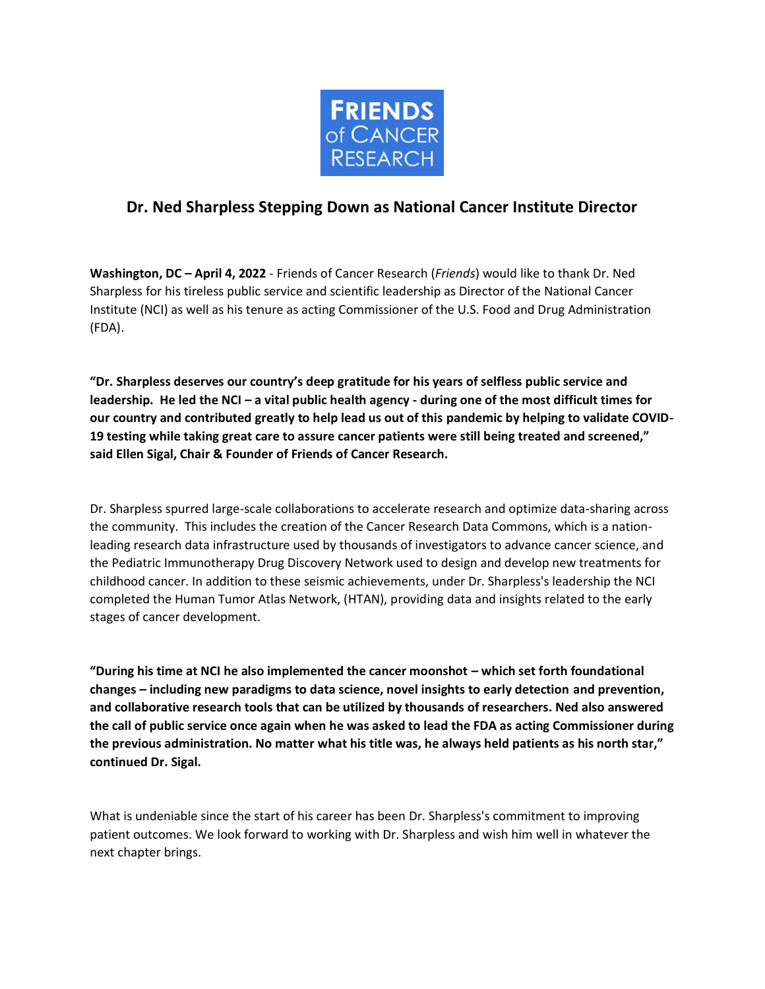

## **Dr. Ned Sharpless Stepping Down as National Cancer Institute Director**

**Washington, DC – April 4, 2022** - Friends of Cancer Research (*Friends*) would like to thank Dr. Ned Sharpless for his tireless public service and scientific leadership as Director of the National Cancer Institute (NCI) as well as his tenure as acting Commissioner of the U.S. Food and Drug Administration (FDA).

**"Dr. Sharpless deserves our country's deep gratitude for his years of selfless public service and leadership. He led the NCI – a vital public health agency - during one of the most difficult times for our country and contributed greatly to help lead us out of this pandemic by helping to validate COVID-19 testing while taking great care to assure cancer patients were still being treated and screened," said Ellen Sigal, Chair & Founder of Friends of Cancer Research.** 

Dr. Sharpless spurred large-scale collaborations to accelerate research and optimize data-sharing across the community. This includes the creation of the Cancer Research Data Commons, which is a nationleading research data infrastructure used by thousands of investigators to advance cancer science, and the Pediatric Immunotherapy Drug Discovery Network used to design and develop new treatments for childhood cancer. In addition to these seismic achievements, under Dr. Sharpless's leadership the NCI completed the Human Tumor Atlas Network, (HTAN), providing data and insights related to the early stages of cancer development.

**"During his time at NCI he also implemented the cancer moonshot – which set forth foundational changes – including new paradigms to data science, novel insights to early detection and prevention, and collaborative research tools that can be utilized by thousands of researchers. Ned also answered the call of public service once again when he was asked to lead the FDA as acting Commissioner during the previous administration. No matter what his title was, he always held patients as his north star," continued Dr. Sigal.**

What is undeniable since the start of his career has been Dr. Sharpless's commitment to improving patient outcomes. We look forward to working with Dr. Sharpless and wish him well in whatever the next chapter brings.